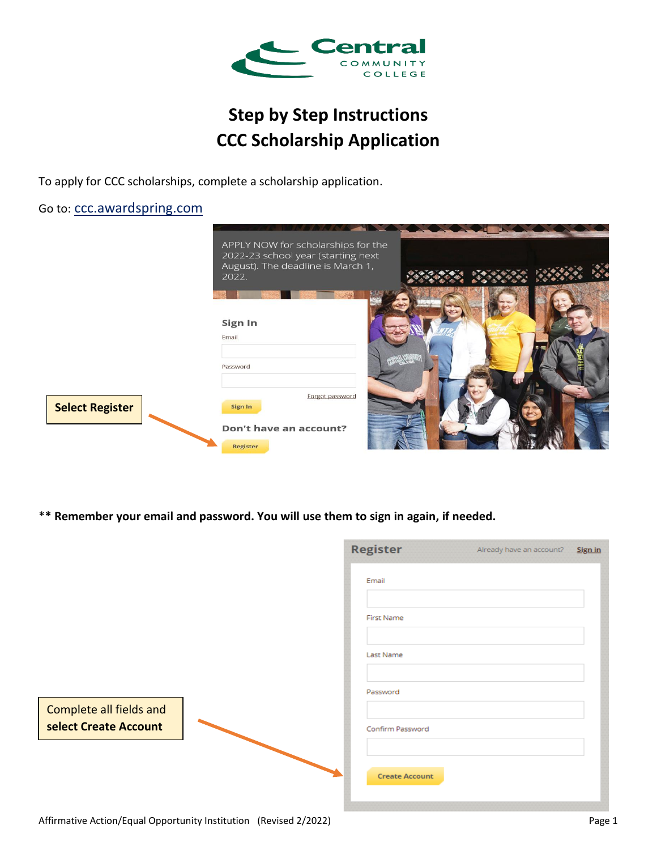

# **Step by Step Instructions CCC Scholarship Application**

To apply for CCC scholarships, complete a scholarship application.

Go to: [ccc.awardspring.com](https://ccc.awardspring.com/)

|                        | APPLY NOW for scholarships for the<br>2022-23 school year (starting next<br>August). The deadline is March 1,<br>2022. |  |
|------------------------|------------------------------------------------------------------------------------------------------------------------|--|
|                        | Sign In<br>Email                                                                                                       |  |
|                        | Password                                                                                                               |  |
|                        | Forgot password<br>Sign In                                                                                             |  |
| <b>Select Register</b> | Don't have an account?<br><b>Register</b>                                                                              |  |

\***\* Remember your email and password. You will use them to sign in again, if needed.**

|                                                  | <b>Register</b>       | Already have an account? | Sign in |
|--------------------------------------------------|-----------------------|--------------------------|---------|
|                                                  | Email                 |                          |         |
|                                                  | <b>First Name</b>     |                          |         |
|                                                  | Last Name             |                          |         |
|                                                  | Password              |                          |         |
| Complete all fields and<br>select Create Account | Confirm Password      |                          |         |
|                                                  | <b>Create Account</b> |                          |         |
| $\sim$                                           |                       |                          |         |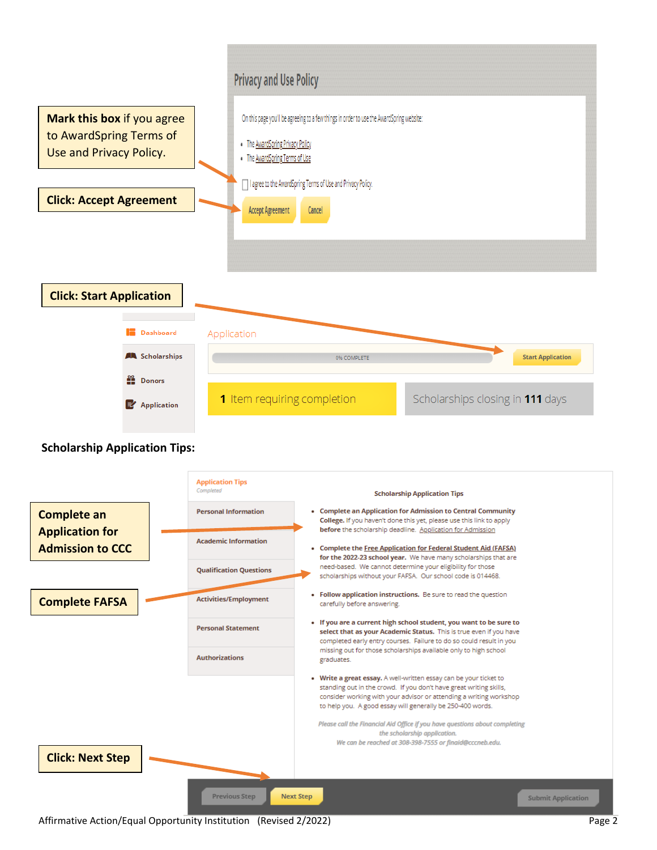

#### **Scholarship Application Tips:**



Affirmative Action/Equal Opportunity Institution (Revised 2/2022) **Page 2** and the state of the state of the state of the state of the state of the state of the state of the state of the state of the state of the state of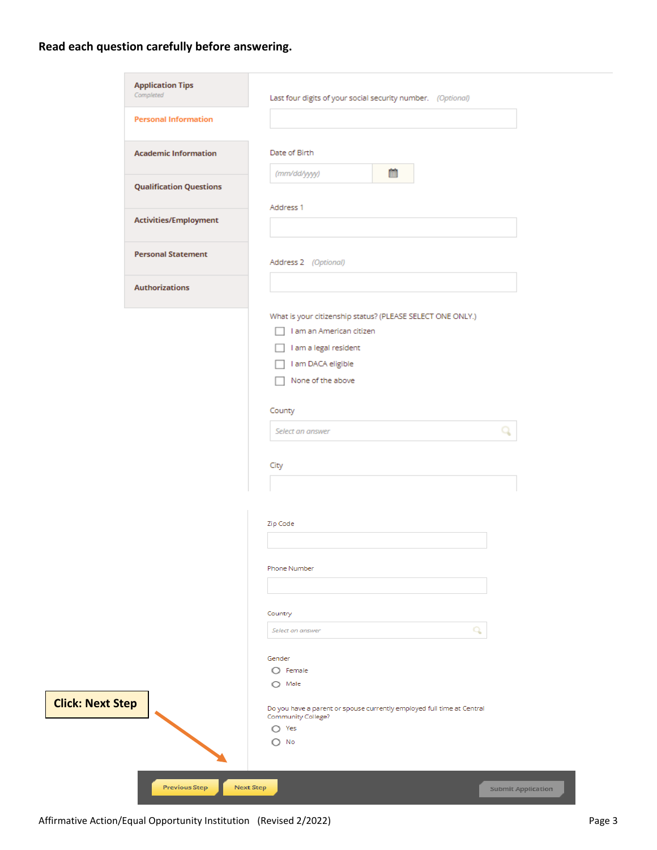## **Read each question carefully before answering.**

| <b>Personal Information</b><br><b>Academic Information</b><br>Date of Birth<br>箘<br>(mm/dd/yyyy)<br><b>Qualification Questions</b><br>Address 1<br>Activities/Employment<br><b>Personal Statement</b><br>Address 2 (Optional)<br><b>Authorizations</b><br>What is your citizenship status? (PLEASE SELECT ONE ONLY.)<br>I am an American citizen<br>I am a legal resident<br>I am DACA eligible<br>None of the above<br>County<br>Select an answer<br>City<br>Zip Code<br>Phone Number<br>Country<br>Q<br>Select an answer<br>Gender<br>$\bigcirc$ Female<br>$\bigcirc$ Male<br>Do you have a parent or spouse currently employed full time at Central<br>Community College?<br>$\bigcirc$ Yes<br>$\bigcirc$ No | <b>Application Tips</b><br>Completed | Last four digits of your social security number. (Optional) |
|-----------------------------------------------------------------------------------------------------------------------------------------------------------------------------------------------------------------------------------------------------------------------------------------------------------------------------------------------------------------------------------------------------------------------------------------------------------------------------------------------------------------------------------------------------------------------------------------------------------------------------------------------------------------------------------------------------------------|--------------------------------------|-------------------------------------------------------------|
|                                                                                                                                                                                                                                                                                                                                                                                                                                                                                                                                                                                                                                                                                                                 |                                      |                                                             |
|                                                                                                                                                                                                                                                                                                                                                                                                                                                                                                                                                                                                                                                                                                                 |                                      |                                                             |
|                                                                                                                                                                                                                                                                                                                                                                                                                                                                                                                                                                                                                                                                                                                 |                                      |                                                             |
|                                                                                                                                                                                                                                                                                                                                                                                                                                                                                                                                                                                                                                                                                                                 |                                      |                                                             |
|                                                                                                                                                                                                                                                                                                                                                                                                                                                                                                                                                                                                                                                                                                                 |                                      |                                                             |
|                                                                                                                                                                                                                                                                                                                                                                                                                                                                                                                                                                                                                                                                                                                 |                                      |                                                             |
|                                                                                                                                                                                                                                                                                                                                                                                                                                                                                                                                                                                                                                                                                                                 |                                      |                                                             |
|                                                                                                                                                                                                                                                                                                                                                                                                                                                                                                                                                                                                                                                                                                                 |                                      |                                                             |
|                                                                                                                                                                                                                                                                                                                                                                                                                                                                                                                                                                                                                                                                                                                 |                                      |                                                             |
|                                                                                                                                                                                                                                                                                                                                                                                                                                                                                                                                                                                                                                                                                                                 |                                      |                                                             |
|                                                                                                                                                                                                                                                                                                                                                                                                                                                                                                                                                                                                                                                                                                                 |                                      |                                                             |
|                                                                                                                                                                                                                                                                                                                                                                                                                                                                                                                                                                                                                                                                                                                 |                                      |                                                             |
|                                                                                                                                                                                                                                                                                                                                                                                                                                                                                                                                                                                                                                                                                                                 |                                      |                                                             |
|                                                                                                                                                                                                                                                                                                                                                                                                                                                                                                                                                                                                                                                                                                                 |                                      |                                                             |
|                                                                                                                                                                                                                                                                                                                                                                                                                                                                                                                                                                                                                                                                                                                 |                                      |                                                             |
|                                                                                                                                                                                                                                                                                                                                                                                                                                                                                                                                                                                                                                                                                                                 |                                      |                                                             |
|                                                                                                                                                                                                                                                                                                                                                                                                                                                                                                                                                                                                                                                                                                                 |                                      |                                                             |
|                                                                                                                                                                                                                                                                                                                                                                                                                                                                                                                                                                                                                                                                                                                 |                                      |                                                             |
|                                                                                                                                                                                                                                                                                                                                                                                                                                                                                                                                                                                                                                                                                                                 |                                      |                                                             |
|                                                                                                                                                                                                                                                                                                                                                                                                                                                                                                                                                                                                                                                                                                                 |                                      |                                                             |
|                                                                                                                                                                                                                                                                                                                                                                                                                                                                                                                                                                                                                                                                                                                 |                                      |                                                             |
|                                                                                                                                                                                                                                                                                                                                                                                                                                                                                                                                                                                                                                                                                                                 |                                      |                                                             |
|                                                                                                                                                                                                                                                                                                                                                                                                                                                                                                                                                                                                                                                                                                                 |                                      |                                                             |
|                                                                                                                                                                                                                                                                                                                                                                                                                                                                                                                                                                                                                                                                                                                 |                                      |                                                             |
|                                                                                                                                                                                                                                                                                                                                                                                                                                                                                                                                                                                                                                                                                                                 |                                      |                                                             |
|                                                                                                                                                                                                                                                                                                                                                                                                                                                                                                                                                                                                                                                                                                                 |                                      |                                                             |
|                                                                                                                                                                                                                                                                                                                                                                                                                                                                                                                                                                                                                                                                                                                 |                                      |                                                             |
|                                                                                                                                                                                                                                                                                                                                                                                                                                                                                                                                                                                                                                                                                                                 |                                      |                                                             |
|                                                                                                                                                                                                                                                                                                                                                                                                                                                                                                                                                                                                                                                                                                                 |                                      |                                                             |
|                                                                                                                                                                                                                                                                                                                                                                                                                                                                                                                                                                                                                                                                                                                 |                                      |                                                             |
|                                                                                                                                                                                                                                                                                                                                                                                                                                                                                                                                                                                                                                                                                                                 |                                      |                                                             |
|                                                                                                                                                                                                                                                                                                                                                                                                                                                                                                                                                                                                                                                                                                                 | <b>Next Step</b>                     |                                                             |

Affirmative Action/Equal Opportunity Institution (Revised 2/2022)<br>
Page 3

**Click:**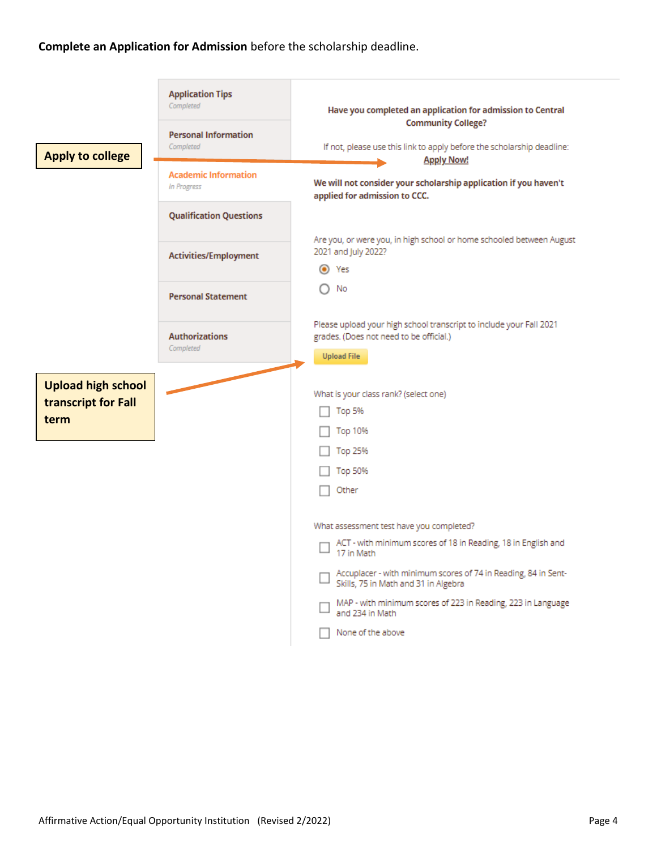#### **Complete an Application for Admission** before the scholarship deadline.

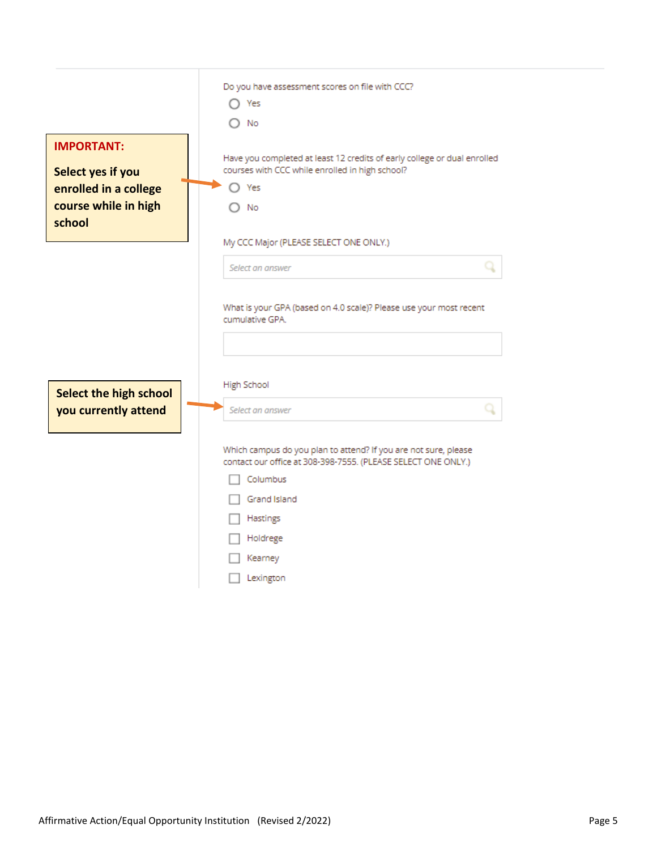|                          | Do you have assessment scores on file with CCC?                                                                                                                                      |
|--------------------------|--------------------------------------------------------------------------------------------------------------------------------------------------------------------------------------|
|                          | Yes                                                                                                                                                                                  |
|                          | No                                                                                                                                                                                   |
| <b>IMPORTANT:</b>        |                                                                                                                                                                                      |
| <b>Select yes if you</b> | Have you completed at least 12 credits of early college or dual enrolled<br>courses with CCC while enrolled in high school?                                                          |
| enrolled in a college    | Yes                                                                                                                                                                                  |
| course while in high     | No                                                                                                                                                                                   |
| school                   |                                                                                                                                                                                      |
|                          | My CCC Major (PLEASE SELECT ONE ONLY.)                                                                                                                                               |
|                          | q<br>Select an answer                                                                                                                                                                |
| Select the high school   | <b>High School</b>                                                                                                                                                                   |
| you currently attend     | Select an answer                                                                                                                                                                     |
|                          | Which campus do you plan to attend? If you are not sure, please<br>contact our office at 308-398-7555. (PLEASE SELECT ONE ONLY.)<br>Columbus<br>Grand Island<br>Hastings<br>Holdrege |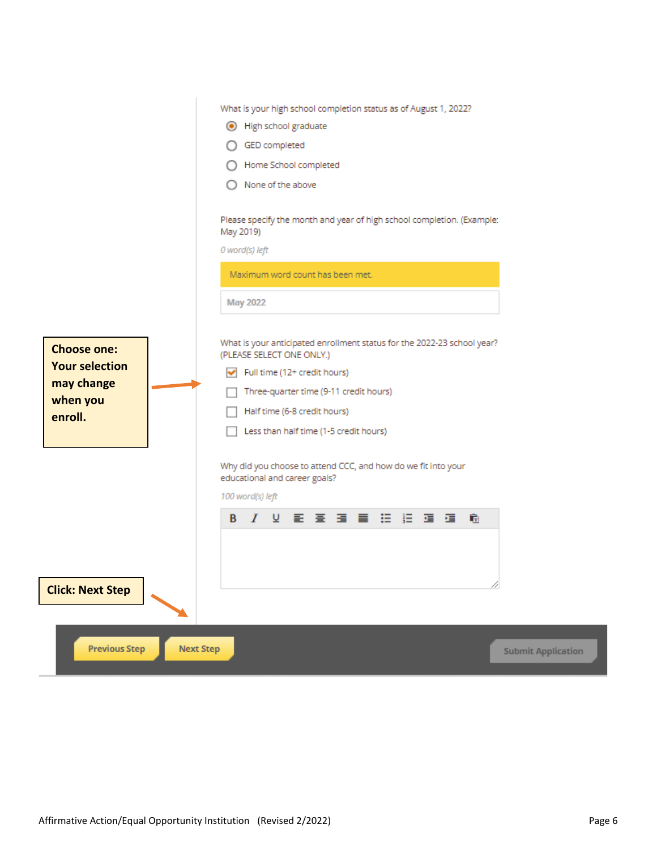| <b>Choose one:</b><br><b>Your selection</b><br>may change<br>when you<br>enroll. | What is your high school completion status as of August 1, 2022?<br>● High school graduate<br>GED completed<br>Home School completed<br>None of the above<br>Please specify the month and year of high school completion. (Example:<br>May 2019)<br>0 word(s) left<br>Maximum word count has been met.<br><b>May 2022</b><br>What is your anticipated enrollment status for the 2022-23 school year?<br>(PLEASE SELECT ONE ONLY.)<br>Full time (12+ credit hours)<br>Three-quarter time (9-11 credit hours)<br>Half time (6-8 credit hours)<br>Less than half time (1-5 credit hours)<br>Why did you choose to attend CCC, and how do we fit into your<br>educational and career goals? |
|----------------------------------------------------------------------------------|-----------------------------------------------------------------------------------------------------------------------------------------------------------------------------------------------------------------------------------------------------------------------------------------------------------------------------------------------------------------------------------------------------------------------------------------------------------------------------------------------------------------------------------------------------------------------------------------------------------------------------------------------------------------------------------------|
|                                                                                  | 100 word(s) left                                                                                                                                                                                                                                                                                                                                                                                                                                                                                                                                                                                                                                                                        |
| <b>Click: Next Step</b>                                                          | 8 / 2 新聞 高層 高度 油槽<br>扁                                                                                                                                                                                                                                                                                                                                                                                                                                                                                                                                                                                                                                                                  |
| <b>Previous Step</b><br><b>Next Step</b>                                         | <b>Submit Application</b>                                                                                                                                                                                                                                                                                                                                                                                                                                                                                                                                                                                                                                                               |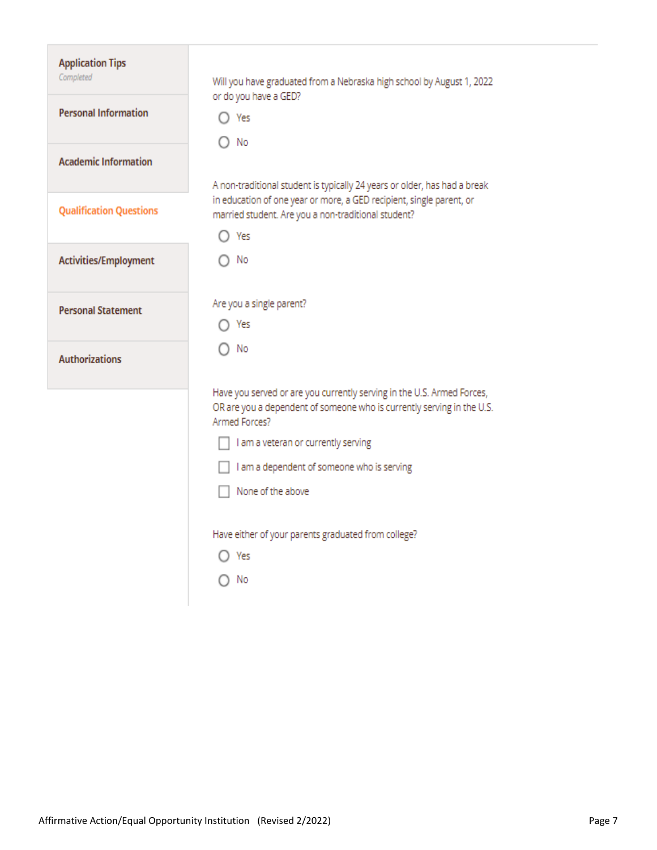| <b>Application Tips</b><br>Completed | Will you have graduated from a Nebraska high school by August 1, 2022<br>or do you have a GED?                                                                    |
|--------------------------------------|-------------------------------------------------------------------------------------------------------------------------------------------------------------------|
| <b>Personal Information</b>          | Yes<br>No                                                                                                                                                         |
| <b>Academic Information</b>          | A non-traditional student is typically 24 years or older, has had a break                                                                                         |
| <b>Qualification Questions</b>       | in education of one year or more, a GED recipient, single parent, or<br>married student. Are you a non-traditional student?                                       |
|                                      | Yes                                                                                                                                                               |
| Activities/Employment                | No                                                                                                                                                                |
| <b>Personal Statement</b>            | Are you a single parent?                                                                                                                                          |
|                                      | Yes                                                                                                                                                               |
| <b>Authorizations</b>                | No                                                                                                                                                                |
|                                      | Have you served or are you currently serving in the U.S. Armed Forces,<br>OR are you a dependent of someone who is currently serving in the U.S.<br>Armed Forces? |
|                                      | I am a veteran or currently serving                                                                                                                               |
|                                      | I am a dependent of someone who is serving                                                                                                                        |
|                                      | None of the above                                                                                                                                                 |
|                                      | Have either of your parents graduated from college?                                                                                                               |
|                                      | Yes                                                                                                                                                               |
|                                      | No.                                                                                                                                                               |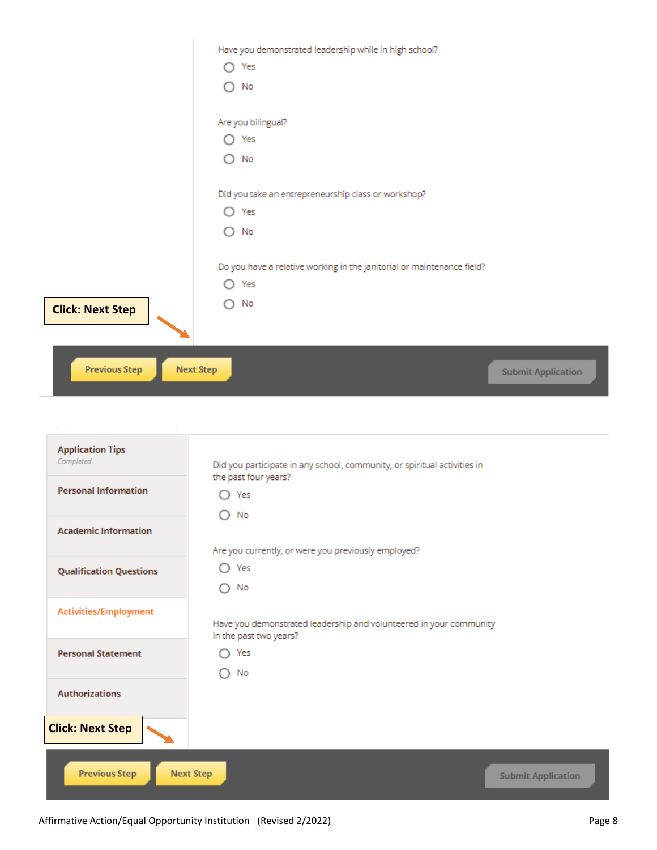| <b>Previous Step</b>    | <b>Next Step</b><br><b>Submit Application</b>                                      |
|-------------------------|------------------------------------------------------------------------------------|
| <b>Click: Next Step</b> | No<br>∩                                                                            |
|                         | Do you have a relative working in the janitorial or maintenance field?<br>Yes<br>∩ |
|                         | O<br>No                                                                            |
|                         | Did you take an entrepreneurship class or workshop?<br>Yes<br>$\circ$              |
|                         | ∩<br>No                                                                            |
|                         | Are you bilingual?<br>Yes<br>$\left(\begin{array}{c} \end{array}\right)$           |
|                         | No<br>∩                                                                            |
|                         | Have you demonstrated leadership while in high school?<br>$\bigcirc$ Yes           |

| <b>Application Tips</b><br>Completed | Did you participate in any school, community, or spiritual activities in                     |
|--------------------------------------|----------------------------------------------------------------------------------------------|
| <b>Personal Information</b>          | the past four years?<br>Yes                                                                  |
| <b>Academic Information</b>          | No                                                                                           |
| <b>Qualification Questions</b>       | Are you currently, or were you previously employed?<br>Yes<br>O<br>No<br>∩                   |
| <b>Activities/Employment</b>         | Have you demonstrated leadership and volunteered in your community<br>in the past two years? |
| <b>Personal Statement</b>            | Yes<br>No                                                                                    |
| <b>Authorizations</b>                |                                                                                              |
| <b>Click: Next Step</b>              |                                                                                              |
| <b>Previous Step</b>                 | <b>Next Step</b><br><b>Submit Application</b>                                                |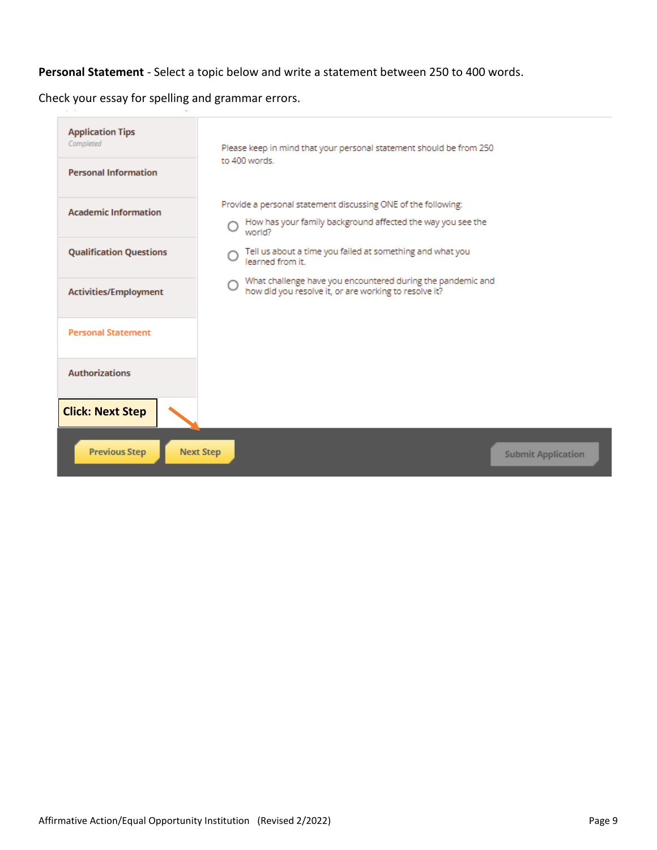## **Personal Statement** - Select a topic below and write a statement between 250 to 400 words.

Check your essay for spelling and grammar errors.

| <b>Application Tips</b><br>Completed | Please keep in mind that your personal statement should be from 250                                                       |
|--------------------------------------|---------------------------------------------------------------------------------------------------------------------------|
| <b>Personal Information</b>          | to 400 words.                                                                                                             |
| <b>Academic Information</b>          | Provide a personal statement discussing ONE of the following:                                                             |
|                                      | How has your family background affected the way you see the<br>world?                                                     |
| <b>Qualification Questions</b>       | Tell us about a time you failed at something and what you<br>learned from it.                                             |
| Activities/Employment                | What challenge have you encountered during the pandemic and<br>∩<br>how did you resolve it, or are working to resolve it? |
| <b>Personal Statement</b>            |                                                                                                                           |
| <b>Authorizations</b>                |                                                                                                                           |
| <b>Click: Next Step</b>              |                                                                                                                           |
| <b>Previous Step</b>                 | <b>Next Step</b><br><b>Submit Application</b>                                                                             |